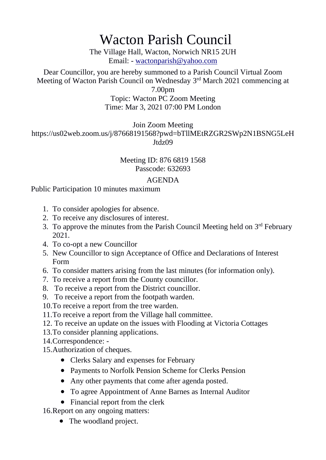# Wacton Parish Council

The Village Hall, Wacton, Norwich NR15 2UH Email: - [wactonparish@yahoo.com](mailto:wactonparish@yahoo.com)

Dear Councillor, you are hereby summoned to a Parish Council Virtual Zoom Meeting of Wacton Parish Council on Wednesday 3<sup>rd</sup> March 2021 commencing at

7.00pm

#### Topic: Wacton PC Zoom Meeting Time: Mar 3, 2021 07:00 PM London

Join Zoom Meeting

https://us02web.zoom.us/j/87668191568?pwd=bTllMEtRZGR2SWp2N1BSNG5LeH Jtdz09

## Meeting ID: 876 6819 1568 Passcode: 632693

#### AGENDA

## Public Participation 10 minutes maximum

- 1. To consider apologies for absence.
- 2. To receive any disclosures of interest.
- 3. To approve the minutes from the Parish Council Meeting held on  $3<sup>rd</sup>$  February 2021.
- 4. To co-opt a new Councillor
- 5. New Councillor to sign Acceptance of Office and Declarations of Interest Form
- 6. To consider matters arising from the last minutes (for information only).
- 7. To receive a report from the County councillor.
- 8. To receive a report from the District councillor.
- 9. To receive a report from the footpath warden.
- 10.To receive a report from the tree warden.
- 11.To receive a report from the Village hall committee.
- 12. To receive an update on the issues with Flooding at Victoria Cottages
- 13.To consider planning applications.
- 14.Correspondence: -
- 15.Authorization of cheques.
	- Clerks Salary and expenses for February
	- Payments to Norfolk Pension Scheme for Clerks Pension
	- Any other payments that come after agenda posted.
	- To agree Appointment of Anne Barnes as Internal Auditor
	- Financial report from the clerk
- 16.Report on any ongoing matters:
	- The woodland project.